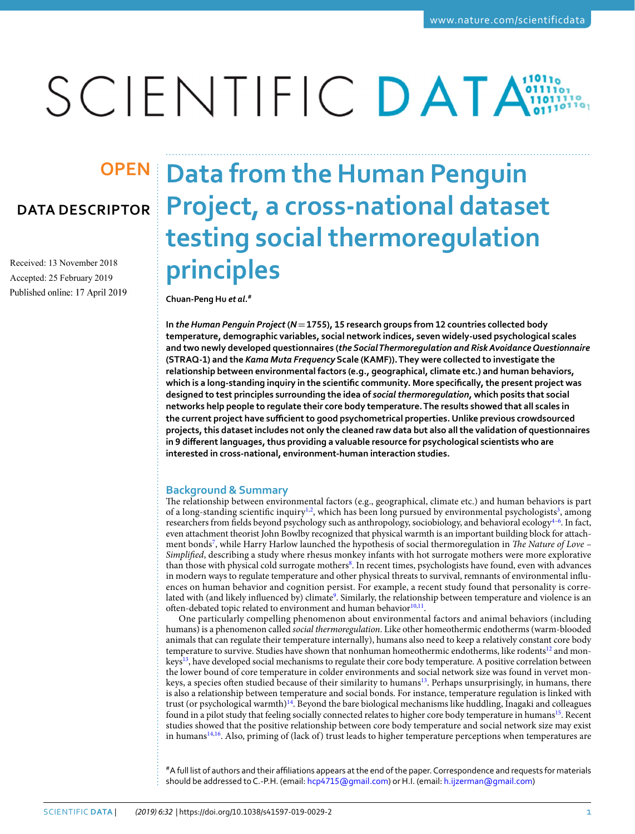# SCIENTIFIC DATA

Received: 13 November 2018 Accepted: 25 February 2019 Published online: 17 April 2019

## **Data from the Human Penguin OPEN PRODER ACTES AND READER FIRE PROPELLY PROPELLY AT A CONSTRANCE PROPELLY A PROPELLY A PROPELLY A PROPELLY A PROPELLY A PROPELLY A PROPELLY A PROPELLY A PROPELLY A PROPELLY A PROPELLY A PROPELLY A PROPELLY A PROPELLY A PROP testing social thermoregulation principles**

**Chuan-Peng Hu** *et al.***#**

**In** *the Human Penguin Project* **(***N***= 1755), 15 research groups from 12 countries collected body temperature, demographic variables, social network indices, seven widely-used psychological scales and two newly developed questionnaires (***the Social Thermoregulation and Risk Avoidance Questionnaire* **(STRAQ-1) and the** *Kama Muta Frequency* **Scale (KAMF)).They were collected to investigate the relationship between environmental factors (e.g., geographical, climate etc.) and human behaviors, which is a long-standing inquiry in the scientifc community. More specifcally,the present project was designed to test principles surrounding the idea of** *social thermoregulation***, which posits that social networks help people to regulate their core body temperature.The results showed that all scales in the current project have sufcientto good psychometrical properties. Unlike previous crowdsourced projects,this datasetincludes not only the cleaned raw data but also allthe validation of questionnaires in 9 diferentlanguages,thus providing a valuable resource for psychological scientists who are interested in cross-national, environment-human interaction studies.**

### **Background & Summary**

The relationship between environmental factors (e.g., geographical, climate etc.) and human behaviors is part of a long-standing scientific inquiry<sup>[1](#page-4-0),[2](#page-4-1)</sup>, which has been long pursued by environmental psychologists<sup>3</sup>, among researchers from felds beyond psychology such as anthropology, sociobiology, and behavioral ecolog[y4](#page-4-3)[–6](#page-5-0) . In fact, even attachment theorist John Bowlby recognized that physical warmth is an important building block for attach-ment bonds<sup>[7](#page-5-1)</sup>, while Harry Harlow launched the hypothesis of social thermoregulation in *The Nature of Love -Simplifed*, describing a study where rhesus monkey infants with hot surrogate mothers were more explorative than those with physical cold surrogate mothers<sup>8</sup>. In recent times, psychologists have found, even with advances in modern ways to regulate temperature and other physical threats to survival, remnants of environmental infuences on human behavior and cognition persist. For example, a recent study found that personality is corre-lated with (and likely influenced by) climate<sup>[9](#page-5-3)</sup>. Similarly, the relationship between temperature and violence is an often-debated topic related to environment and human behavior<sup>[10,](#page-5-4)11</sup>.

One particularly compelling phenomenon about environmental factors and animal behaviors (including humans) is a phenomenon called *social thermoregulation*. Like other homeothermic endotherms (warm-blooded animals that can regulate their temperature internally), humans also need to keep a relatively constant core body temperature to survive. Studies have shown that nonhuman homeothermic endotherms, like rodents<sup>12</sup> and monkeys<sup>13</sup>, have developed social mechanisms to regulate their core body temperature. A positive correlation between the lower bound of core temperature in colder environments and social network size was found in vervet monkeys, a species often studied because of their similarity to humans<sup>13</sup>. Perhaps unsurprisingly, in humans, there is also a relationship between temperature and social bonds. For instance, temperature regulation is linked with trust (or psychological warmth[\)14.](#page-5-8) Beyond the bare biological mechanisms like huddling, Inagaki and colleagues found in a pilot study that feeling socially connected relates to higher core body temperature in humans<sup>[15](#page-5-9)</sup>. Recent studies showed that the positive relationship between core body temperature and social network size may exist in humans<sup>14,16</sup>. Also, priming of (lack of) trust leads to higher temperature perceptions when temperatures are

#A full list of authors and their afliations appears at the end of the paper. Correspondence and requests for materials should be addressed to C.-P.H. (email: [hcp4715@gmail.com](mailto:hcp4715@gmail.com)) or H.I. (email: [h.ijzerman@gmail.com](mailto:h.ijzerman@gmail.com))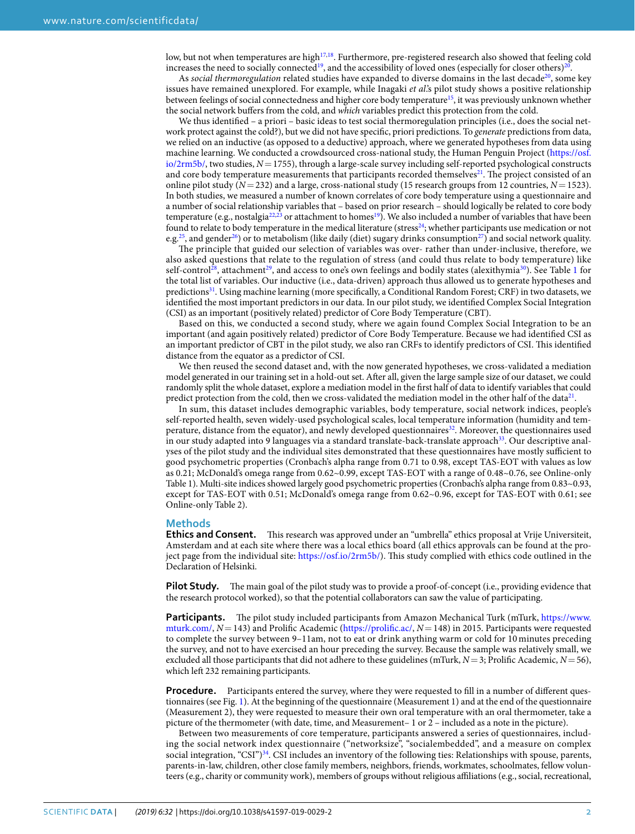low, but not when temperatures are high<sup>17,18</sup>. Furthermore, pre-registered research also showed that feeling cold increases the need to socially connected<sup>[19](#page-5-13)</sup>, and the accessibility of loved ones (especially for closer others)<sup>20</sup>.

As *social thermoregulation* related studies have expanded to diverse domains in the last decade<sup>20</sup>, some key issues have remained unexplored. For example, while Inagaki *et al*.'s pilot study shows a positive relationship between feelings of social connectedness and higher core body temperature[15](#page-5-9), it was previously unknown whether the social network bufers from the cold, and *which* variables predict this protection from the cold.

We thus identified – a priori – basic ideas to test social thermoregulation principles (i.e., does the social network protect against the cold?), but we did not have specifc, priori predictions. To *generate* predictions from data, we relied on an inductive (as opposed to a deductive) approach, where we generated hypotheses from data using machine learning. We conducted a crowdsourced cross-national study, the Human Penguin Project ([https://osf.](https://osf.io/2rm5b/) [io/2rm5b/,](https://osf.io/2rm5b/) two studies, *N*=1755), through a large-scale survey including self-reported psychological constructs and core body temperature measurements that participants recorded themselves $21$ . The project consisted of an online pilot study ( $N=232$ ) and a large, cross-national study (15 research groups from 12 countries,  $N=1523$ ). In both studies, we measured a number of known correlates of core body temperature using a questionnaire and a number of social relationship variables that – based on prior research – should logically be related to core body temperature (e.g., nostalgia<sup>22,23</sup> or attachment to homes<sup>[19](#page-5-13)</sup>). We also included a number of variables that have been found to relate to body temperature in the medical literature (stress<sup>24</sup>; whether participants use medication or not e.g.<sup>[25](#page-5-19)</sup>, and gender<sup>26</sup>) or to metabolism (like daily (diet) sugary drinks consumption<sup>27</sup>) and social network quality.

The principle that guided our selection of variables was over- rather than under-inclusive, therefore, we also asked questions that relate to the regulation of stress (and could thus relate to body temperature) like self-control<sup>28</sup>, attachment<sup>29</sup>, and access to one's own feelings and bodily states (alexithymia<sup>30</sup>). See Table [1](#page-2-0) for the total list of variables. Our inductive (i.e., data-driven) approach thus allowed us to generate hypotheses and predictions<sup>31</sup>. Using machine learning (more specifically, a Conditional Random Forest; CRF) in two datasets, we identifed the most important predictors in our data. In our pilot study, we identifed Complex Social Integration (CSI) as an important (positively related) predictor of Core Body Temperature (CBT).

Based on this, we conducted a second study, where we again found Complex Social Integration to be an important (and again positively related) predictor of Core Body Temperature. Because we had identifed CSI as an important predictor of CBT in the pilot study, we also ran CRFs to identify predictors of CSI. Tis identifed distance from the equator as a predictor of CSI.

We then reused the second dataset and, with the now generated hypotheses, we cross-validated a mediation model generated in our training set in a hold-out set. Afer all, given the large sample size of our dataset, we could randomly split the whole dataset, explore a mediation model in the frst half of data to identify variables that could predict protection from the cold, then we cross-validated the mediation model in the other half of the data $^{21}$ .

In sum, this dataset includes demographic variables, body temperature, social network indices, people's self-reported health, seven widely-used psychological scales, local temperature information (humidity and temperature, distance from the equator), and newly developed questionnaires[32.](#page-5-26) Moreover, the questionnaires used in our study adapted into 9 languages via a standard translate-back-translate approach<sup>[33](#page-5-27)</sup>. Our descriptive analyses of the pilot study and the individual sites demonstrated that these questionnaires have mostly sufficient to good psychometric properties (Cronbach's alpha range from 0.71 to 0.98, except TAS-EOT with values as low as 0.21; McDonald's omega range from 0.62~0.99, except TAS-EOT with a range of 0.48~0.76, see Online-only Table 1). Multi-site indices showed largely good psychometric properties (Cronbach's alpha range from 0.83~0.93, except for TAS-EOT with 0.51; McDonald's omega range from 0.62~0.96, except for TAS-EOT with 0.61; see Online-only Table 2).

#### **Methods**

**Ethics and Consent.** This research was approved under an "umbrella" ethics proposal at Vrije Universiteit, Amsterdam and at each site where there was a local ethics board (all ethics approvals can be found at the project page from the individual site: [https://osf.io/2rm5b/\)](https://osf.io/2rm5b/). Tis study complied with ethics code outlined in the Declaration of Helsinki.

**Pilot Study.** The main goal of the pilot study was to provide a proof-of-concept (i.e., providing evidence that the research protocol worked), so that the potential collaborators can saw the value of participating.

Participants. The pilot study included participants from Amazon Mechanical Turk (mTurk, [https://www.](https://www.mturk.com/) [mturk.com/,](https://www.mturk.com/) *N*=143) and Prolifc Academic ([https://prolifc.ac/,](https://prolific.ac/) *N*=148) in 2015. Participants were requested to complete the survey between 9–11am, not to eat or drink anything warm or cold for 10 minutes preceding the survey, and not to have exercised an hour preceding the survey. Because the sample was relatively small, we excluded all those participants that did not adhere to these guidelines (mTurk, *N*=3; Prolifc Academic, *N*=56), which left 232 remaining participants.

**Procedure.** Participants entered the survey, where they were requested to fill in a number of different questionnaires (see Fig. [1\)](#page-3-0). At the beginning of the questionnaire (Measurement 1) and at the end of the questionnaire (Measurement 2), they were requested to measure their own oral temperature with an oral thermometer, take a picture of the thermometer (with date, time, and Measurement– 1 or 2 – included as a note in the picture).

Between two measurements of core temperature, participants answered a series of questionnaires, including the social network index questionnaire ("networksize", "socialembedded", and a measure on complex social integration, "CSI")<sup>34</sup>. CSI includes an inventory of the following ties: Relationships with spouse, parents, parents-in-law, children, other close family members, neighbors, friends, workmates, schoolmates, fellow volunteers (e.g., charity or community work), members of groups without religious afliations (e.g., social, recreational,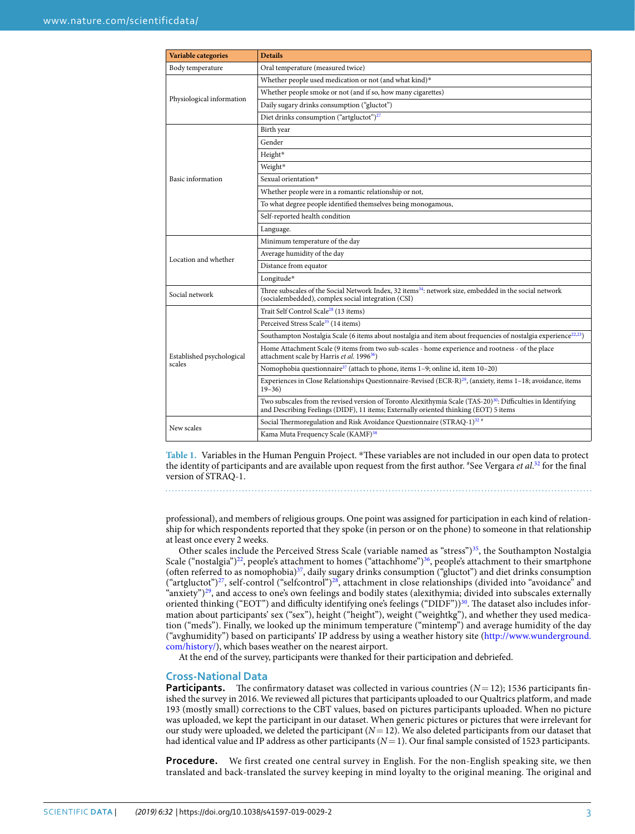<span id="page-2-0"></span>

| Variable categories                 | <b>Details</b>                                                                                                                                                                                                   |
|-------------------------------------|------------------------------------------------------------------------------------------------------------------------------------------------------------------------------------------------------------------|
| Body temperature                    | Oral temperature (measured twice)                                                                                                                                                                                |
| Physiological information           | Whether people used medication or not (and what kind)*                                                                                                                                                           |
|                                     | Whether people smoke or not (and if so, how many cigarettes)                                                                                                                                                     |
|                                     | Daily sugary drinks consumption ("gluctot")                                                                                                                                                                      |
|                                     | Diet drinks consumption ("artgluctot") <sup>27</sup>                                                                                                                                                             |
| Basic information                   | Birth year                                                                                                                                                                                                       |
|                                     | Gender                                                                                                                                                                                                           |
|                                     | Height*                                                                                                                                                                                                          |
|                                     | Weight*                                                                                                                                                                                                          |
|                                     | Sexual orientation*                                                                                                                                                                                              |
|                                     | Whether people were in a romantic relationship or not,                                                                                                                                                           |
|                                     | To what degree people identified themselves being monogamous,                                                                                                                                                    |
|                                     | Self-reported health condition                                                                                                                                                                                   |
|                                     | Language.                                                                                                                                                                                                        |
| Location and whether                | Minimum temperature of the day                                                                                                                                                                                   |
|                                     | Average humidity of the day                                                                                                                                                                                      |
|                                     | Distance from equator                                                                                                                                                                                            |
|                                     | Longitude*                                                                                                                                                                                                       |
| Social network                      | Three subscales of the Social Network Index, 32 items <sup>34</sup> : network size, embedded in the social network<br>(socialembedded), complex social integration (CSI)                                         |
| Established psychological<br>scales | Trait Self Control Scale <sup>28</sup> (13 items)                                                                                                                                                                |
|                                     | Perceived Stress Scale <sup>35</sup> (14 items)                                                                                                                                                                  |
|                                     | Southampton Nostalgia Scale (6 items about nostalgia and item about frequencies of nostalgia experience <sup>22,23</sup> )                                                                                       |
|                                     | Home Attachment Scale (9 items from two sub-scales - home experience and rootness - of the place<br>attachment scale by Harris et al. 1996 <sup>36</sup> )                                                       |
|                                     | Nomophobia questionnaire <sup>37</sup> (attach to phone, items 1-9; online id, item 10-20)                                                                                                                       |
|                                     | Experiences in Close Relationships Questionnaire-Revised (ECR-R) <sup>29</sup> , (anxiety, items 1–18; avoidance, items<br>$19 - 36$                                                                             |
|                                     | Two subscales from the revised version of Toronto Alexithymia Scale (TAS-20) <sup>30</sup> : Difficulties in Identifying<br>and Describing Feelings (DIDF), 11 items; Externally oriented thinking (EOT) 5 items |
| New scales                          | Social Thermoregulation and Risk Avoidance Questionnaire (STRAQ-1) <sup>32</sup> #                                                                                                                               |
|                                     | Kama Muta Frequency Scale (KAMF) <sup>38</sup>                                                                                                                                                                   |

Table 1. Variables in the Human Penguin Project. \*These variables are not included in our open data to protect the identity of participants and are available upon request from the first author. *\**See Vergara *et al.*<sup>32</sup> for the final version of STRAQ-1.

professional), and members of religious groups. One point was assigned for participation in each kind of relationship for which respondents reported that they spoke (in person or on the phone) to someone in that relationship at least once every 2 weeks.

Other scales include the Perceived Stress Scale (variable named as "stress")<sup>35</sup>, the Southampton Nostalgia Scale ("nostalgia")<sup>22</sup>, people's attachment to homes ("attachhome")<sup>[36](#page-5-30)</sup>, people's attachment to their smartphone (often referred to as nomophobia)<sup>[37](#page-5-31)</sup>, daily sugary drinks consumption ("gluctot") and diet drinks consumption ("artgluctot")<sup>27</sup>, self-control ("selfcontrol")<sup>[28](#page-5-22)</sup>, attachment in close relationships (divided into "avoidance" and "anxiety")<sup>29</sup>, and access to one's own feelings and bodily states (alexithymia; divided into subscales externally oriented thinking ("EOT") and difficulty identifying one's feelings ("DIDF"))<sup>[30](#page-5-24)</sup>. The dataset also includes information about participants' sex ("sex"), height ("height"), weight ("weightkg"), and whether they used medication ("meds"). Finally, we looked up the minimum temperature ("mintemp") and average humidity of the day ("avghumidity") based on participants' IP address by using a weather history site [\(http://www.wunderground.](http://www.wunderground.com/history/) [com/history/\)](http://www.wunderground.com/history/), which bases weather on the nearest airport.

At the end of the survey, participants were thanked for their participation and debriefed.

#### **Cross-National Data**

**Participants.** The confirmatory dataset was collected in various countries  $(N = 12)$ ; 1536 participants finished the survey in 2016. We reviewed all pictures that participants uploaded to our Qualtrics platform, and made 193 (mostly small) corrections to the CBT values, based on pictures participants uploaded. When no picture was uploaded, we kept the participant in our dataset. When generic pictures or pictures that were irrelevant for our study were uploaded, we deleted the participant (*N*=12). We also deleted participants from our dataset that had identical value and IP address as other participants (*N*=1). Our fnal sample consisted of 1523 participants.

**Procedure.** We first created one central survey in English. For the non-English speaking site, we then translated and back-translated the survey keeping in mind loyalty to the original meaning. The original and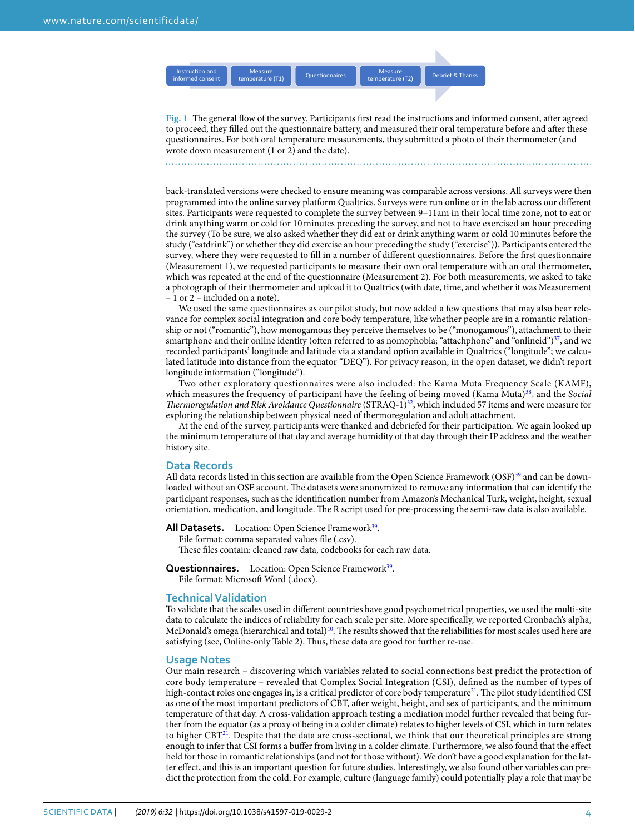Instruction and<br>informed consent

Measure (T1) Questionnaires Measure<br>temperature (T1) Questionnaires temperature

Measure **Departure (T2)** Debrief & Thanks

<span id="page-3-0"></span>**Fig. 1** The general flow of the survey. Participants first read the instructions and informed consent, after agreed to proceed, they flled out the questionnaire battery, and measured their oral temperature before and afer these questionnaires. For both oral temperature measurements, they submitted a photo of their thermometer (and wrote down measurement (1 or 2) and the date).

back-translated versions were checked to ensure meaning was comparable across versions. All surveys were then programmed into the online survey platform Qualtrics. Surveys were run online or in the lab across our diferent sites. Participants were requested to complete the survey between 9–11am in their local time zone, not to eat or drink anything warm or cold for 10minutes preceding the survey, and not to have exercised an hour preceding the survey (To be sure, we also asked whether they did eat or drink anything warm or cold 10minutes before the study ("eatdrink") or whether they did exercise an hour preceding the study ("exercise")). Participants entered the survey, where they were requested to fill in a number of different questionnaires. Before the first questionnaire (Measurement 1), we requested participants to measure their own oral temperature with an oral thermometer, which was repeated at the end of the questionnaire (Measurement 2). For both measurements, we asked to take a photograph of their thermometer and upload it to Qualtrics (with date, time, and whether it was Measurement – 1 or 2 – included on a note).

We used the same questionnaires as our pilot study, but now added a few questions that may also bear relevance for complex social integration and core body temperature, like whether people are in a romantic relationship or not ("romantic"), how monogamous they perceive themselves to be ("monogamous"), attachment to their smartphone and their online identity (often referred to as nomophobia; "attachphone" and "onlineid") $37$ , and we recorded participants' longitude and latitude via a standard option available in Qualtrics ("longitude"; we calculated latitude into distance from the equator "DEQ"). For privacy reason, in the open dataset, we didn't report longitude information ("longitude").

Two other exploratory questionnaires were also included: the Kama Muta Frequency Scale (KAMF), which measures the frequency of participant have the feeling of being moved (Kama Muta)<sup>38</sup>, and the *Social Termoregulation and Risk Avoidance Questionnaire* (STRAQ-1)[32](#page-5-26), which included 57 items and were measure for exploring the relationship between physical need of thermoregulation and adult attachment.

At the end of the survey, participants were thanked and debriefed for their participation. We again looked up the minimum temperature of that day and average humidity of that day through their IP address and the weather history site.

#### **Data Records**

All data records listed in this section are available from the Open Science Framework (OSF)<sup>39</sup> and can be downloaded without an OSF account. The datasets were anonymized to remove any information that can identify the participant responses, such as the identifcation number from Amazon's Mechanical Turk, weight, height, sexual orientation, medication, and longitude. The R script used for pre-processing the semi-raw data is also available.

All **Datasets.** Location: Open Science Framework<sup>39</sup>.

File format: comma separated values fle (.csv).

These files contain: cleaned raw data, codebooks for each raw data.

**Questionnaires.** Location: Open Science Framework<sup>39</sup>. File format: Microsoft Word (.docx).

#### **Technical Validation**

To validate that the scales used in diferent countries have good psychometrical properties, we used the multi-site data to calculate the indices of reliability for each scale per site. More specifcally, we reported Cronbach's alpha, McDonald's omega (hierarchical and total) $40$ . The results showed that the reliabilities for most scales used here are satisfying (see, Online-only Table 2). Thus, these data are good for further re-use.

#### **Usage Notes**

Our main research – discovering which variables related to social connections best predict the protection of core body temperature – revealed that Complex Social Integration (CSI), defned as the number of types of high-contact roles one engages in, is a critical predictor of core body temperature<sup>[21](#page-5-15)</sup>. The pilot study identified CSI as one of the most important predictors of CBT, afer weight, height, and sex of participants, and the minimum temperature of that day. A cross-validation approach testing a mediation model further revealed that being further from the equator (as a proxy of being in a colder climate) relates to higher levels of CSI, which in turn relates to higher  $CBT<sup>21</sup>$ . Despite that the data are cross-sectional, we think that our theoretical principles are strong enough to infer that CSI forms a bufer from living in a colder climate. Furthermore, we also found that the efect held for those in romantic relationships (and not for those without). We don't have a good explanation for the latter efect, and this is an important question for future studies. Interestingly, we also found other variables can predict the protection from the cold. For example, culture (language family) could potentially play a role that may be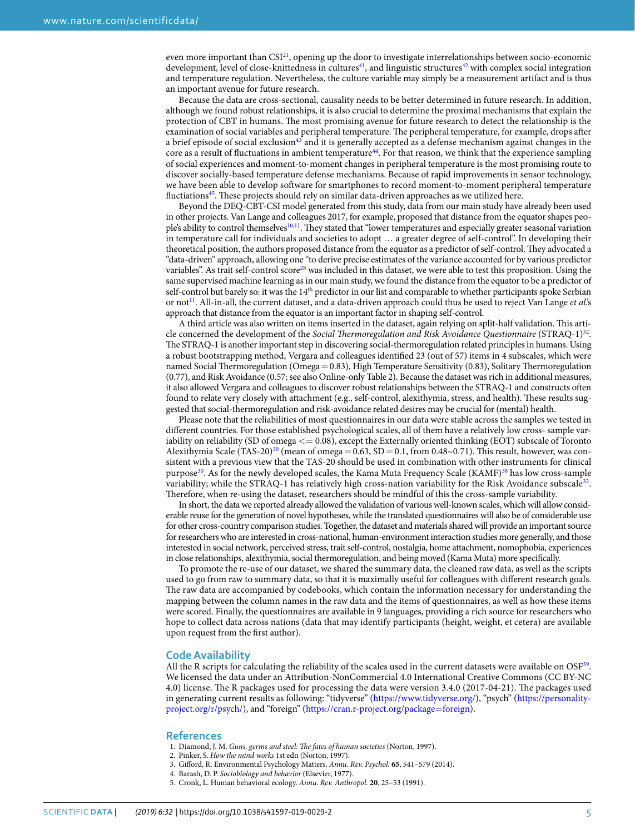even more important than  $CSI<sup>21</sup>$ , opening up the door to investigate interrelationships between socio-economic development, level of close-knittedness in cultures<sup>[41](#page-5-35)</sup>, and linguistic structures<sup>[42](#page-5-36)</sup> with complex social integration and temperature regulation. Nevertheless, the culture variable may simply be a measurement artifact and is thus an important avenue for future research.

Because the data are cross-sectional, causality needs to be better determined in future research. In addition, although we found robust relationships, it is also crucial to determine the proximal mechanisms that explain the protection of CBT in humans. The most promising avenue for future research to detect the relationship is the examination of social variables and peripheral temperature. The peripheral temperature, for example, drops after a brief episode of social exclusion<sup>[43](#page-5-37)</sup> and it is generally accepted as a defense mechanism against changes in the core as a result of fluctuations in ambient temperature<sup>44</sup>. For that reason, we think that the experience sampling of social experiences and moment-to-moment changes in peripheral temperature is the most promising route to discover socially-based temperature defense mechanisms. Because of rapid improvements in sensor technology, we have been able to develop sofware for smartphones to record moment-to-moment peripheral temperature fluctiations<sup>[45](#page-5-39)</sup>. These projects should rely on similar data-driven approaches as we utilized here.

Beyond the DEQ-CBT-CSI model generated from this study, data from our main study have already been used in other projects. Van Lange and colleagues 2017, for example, proposed that distance from the equator shapes people's ability to control themselves<sup>10,11</sup>. They stated that "lower temperatures and especially greater seasonal variation in temperature call for individuals and societies to adopt … a greater degree of self-control". In developing their theoretical position, the authors proposed distance from the equator as a predictor of self-control. They advocated a "data-driven" approach, allowing one "to derive precise estimates of the variance accounted for by various predictor variables". As trait self-control score<sup>[28](#page-5-22)</sup> was included in this dataset, we were able to test this proposition. Using the same supervised machine learning as in our main study, we found the distance from the equator to be a predictor of self-control but barely so: it was the  $14<sup>th</sup>$  predictor in our list and comparable to whether participants spoke Serbian or no[t11](#page-5-5). All-in-all, the current dataset, and a data-driven approach could thus be used to reject Van Lange *et al*.'s approach that distance from the equator is an important factor in shaping self-control.

A third article was also written on items inserted in the dataset, again relying on split-half validation. Tis article concerned the development of the *Social Thermoregulation and Risk Avoidance Questionnaire* (STRAQ-1)<sup>32</sup>. The STRAQ-1 is another important step in discovering social-thermoregulation related principles in humans. Using a robust bootstrapping method, Vergara and colleagues identifed 23 (out of 57) items in 4 subscales, which were named Social Thermoregulation (Omega=0.83), High Temperature Sensitivity (0.83), Solitary Thermoregulation (0.77), and Risk Avoidance (0.57; see also Online-only Table 2). Because the dataset was rich in additional measures, it also allowed Vergara and colleagues to discover robust relationships between the STRAQ-1 and constructs ofen found to relate very closely with attachment (e.g., self-control, alexithymia, stress, and health). These results suggested that social-thermoregulation and risk-avoidance related desires may be crucial for (mental) health.

Please note that the reliabilities of most questionnaires in our data were stable across the samples we tested in diferent countries. For those established psychological scales, all of them have a relatively low cross- sample variability on reliability (SD of omega  $<= 0.08$ ), except the Externally oriented thinking (EOT) subscale of Toronto Alexithymia Scale  $(TAS-20)^{30}$  (mean of omega = 0.63, SD = 0.1, from 0.48~0.71). This result, however, was consistent with a previous view that the TAS-20 should be used in combination with other instruments for clinical purpose<sup>30</sup>. As for the newly developed scales, the Kama Muta Frequency Scale (KAMF)<sup>[38](#page-5-32)</sup> has low cross-sample variability; while the STRAQ-1 has relatively high cross-nation variability for the Risk Avoidance subscale<sup>32</sup>. Therefore, when re-using the dataset, researchers should be mindful of this the cross-sample variability.

In short, the data we reported already allowed the validation of various well-known scales, which will allow considerable reuse for the generation of novel hypotheses, while the translated questionnaires will also be of considerable use for other cross-country comparison studies. Together, the dataset and materials shared will provide an important source for researchers who are interested in cross-national, human-environment interaction studies more generally, and those interested in social network, perceived stress, trait self-control, nostalgia, home attachment, nomophobia, experiences in close relationships, alexithymia, social thermoregulation, and being moved (Kama Muta) more specifcally.

To promote the re-use of our dataset, we shared the summary data, the cleaned raw data, as well as the scripts used to go from raw to summary data, so that it is maximally useful for colleagues with diferent research goals. The raw data are accompanied by codebooks, which contain the information necessary for understanding the mapping between the column names in the raw data and the items of questionnaires, as well as how these items were scored. Finally, the questionnaires are available in 9 languages, providing a rich source for researchers who hope to collect data across nations (data that may identify participants (height, weight, et cetera) are available upon request from the frst author).

#### **CodeAvailability**

All the R scripts for calculating the reliability of the scales used in the current datasets were available on OSF<sup>39</sup>. We licensed the data under an Attribution-NonCommercial 4.0 International Creative Commons (CC BY-NC 4.0) license. The R packages used for processing the data were version 3.4.0 (2017-04-21). The packages used in generating current results as following: "tidyverse" [\(https://www.tidyverse.org/](https://www.tidyverse.org/)), "psych" [\(https://personality](https://personality-project.org/r/psych/)[project.org/r/psych/\)](https://personality-project.org/r/psych/), and "foreign" ([https://cran.r-project.org/package](https://cran.r-project.org/package=foreign)=foreign).

#### **References**

- <span id="page-4-0"></span>1. Diamond, J. M. *Guns, germs and steel: The fates of human societies* (Norton, 1997).
- <span id="page-4-1"></span>2. Pinker, S. *How the mind works* 1st edn (Norton, 1997).
- <span id="page-4-2"></span>3. Giford, R. Environmental Psychology Matters. *Annu. Rev. Psychol.* **65**, 541–579 (2014).
- <span id="page-4-3"></span>4. Barash, D. P. *Sociobiology and behavior* (Elsevier, 1977).
- 5. Cronk, L. Human behavioral ecology. *Annu. Rev. Anthropol.* **20**, 25–53 (1991).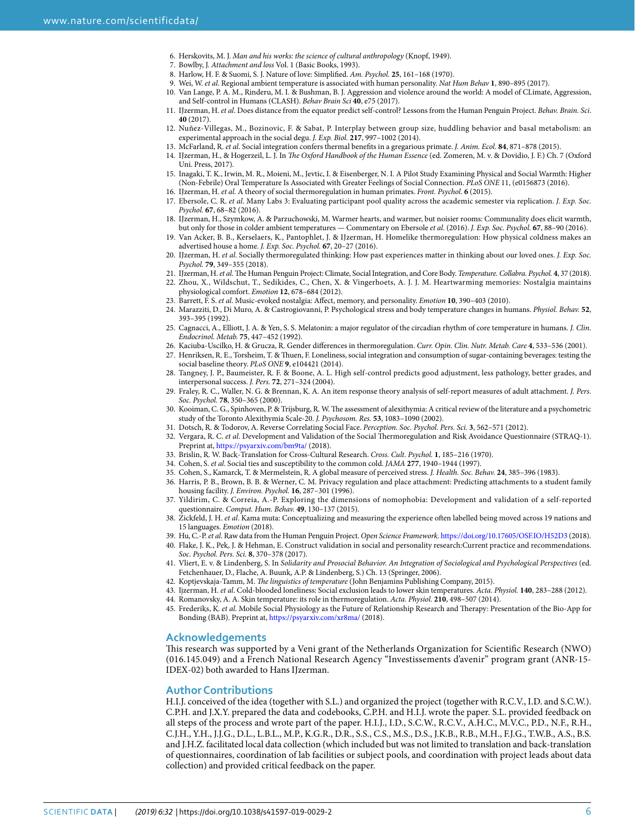- <span id="page-5-0"></span>6. Herskovits, M. J. *Man and his works: the science of cultural anthropology* (Knopf, 1949).
- <span id="page-5-1"></span>7. Bowlby, J. *Attachment and loss* Vol. 1 (Basic Books, 1993).
- <span id="page-5-3"></span><span id="page-5-2"></span>8. Harlow, H. F. & Suomi, S. J. Nature of love: Simplifed. *Am. Psychol.* **25**, 161–168 (1970).
- <span id="page-5-5"></span><span id="page-5-4"></span>9. Wei, W. *et al*. Regional ambient temperature is associated with human personality. *Nat Hum Behav* **1**, 890–895 (2017).
	- 10. Van Lange, P. A. M., Rinderu, M. I. & Bushman, B. J. Aggression and violence around the world: A model of CLimate, Aggression, and Self-control in Humans (CLASH). *Behav Brain Sci* **40**, e75 (2017).
	- 11. IJzerman, H. *et al*. Does distance from the equator predict self-control? Lessons from the Human Penguin Project. *Behav. Brain. Sci*. **40** (2017).
	- 12. Nuñez-Villegas, M., Bozinovic, F. & Sabat, P. Interplay between group size, huddling behavior and basal metabolism: an experimental approach in the social degu. *J. Exp. Biol.* **217**, 997–1002 (2014).
- <span id="page-5-19"></span><span id="page-5-18"></span><span id="page-5-17"></span><span id="page-5-16"></span><span id="page-5-15"></span><span id="page-5-14"></span><span id="page-5-13"></span><span id="page-5-12"></span><span id="page-5-11"></span><span id="page-5-10"></span><span id="page-5-9"></span><span id="page-5-8"></span><span id="page-5-7"></span><span id="page-5-6"></span>13. McFarland, R. *et al*. Social integration confers thermal benefts in a gregarious primate. *J. Anim. Ecol.* **84**, 871–878 (2015).
	- 14. IJzerman, H., & Hogerzeil, L. J. In *Te Oxford Handbook of the Human Essence* (ed. Zomeren, M. v. & Dovidio, J. F.) Ch. 7 (Oxford Uni. Press, 2017).
	- 15. Inagaki, T. K., Irwin, M. R., Moieni, M., Jevtic, I. & Eisenberger, N. I. A Pilot Study Examining Physical and Social Warmth: Higher (Non-Febrile) Oral Temperature Is Associated with Greater Feelings of Social Connection. *PLoS ONE* 11, (e0156873 (2016).
	- 16. IJzerman, H. *et al*. A theory of social thermoregulation in human primates. *Front. Psychol*. **6** (2015).
	- 17. Ebersole, C. R. *et al*. Many Labs 3: Evaluating participant pool quality across the academic semester via replication. *J. Exp. Soc. Psychol.* **67**, 68–82 (2016).
	- 18. IJzerman, H., Szymkow, A. & Parzuchowski, M. Warmer hearts, and warmer, but noisier rooms: Communality does elicit warmth, but only for those in colder ambient temperatures — Commentary on Ebersole *et al*. (2016). *J. Exp. Soc. Psychol.* **67**, 88–90 (2016).
	- 19. Van Acker, B. B., Kerselaers, K., Pantophlet, J. & IJzerman, H. Homelike thermoregulation: How physical coldness makes an advertised house a home. *J. Exp. Soc. Psychol.* **67**, 20–27 (2016).
	- 20. IJzerman, H. *et al*. Socially thermoregulated thinking: How past experiences matter in thinking about our loved ones. *J. Exp. Soc. Psychol.* **79**, 349–355 (2018).
	- 21. IJzerman, H. et al. The Human Penguin Project: Climate, Social Integration, and Core Body. *Temperature. Collabra. Psychol.* 4, 37 (2018). 22. Zhou, X., Wildschut, T., Sedikides, C., Chen, X. & Vingerhoets, A. J. J. M. Heartwarming memories: Nostalgia maintains physiological comfort. *Emotion* **12**, 678–684 (2012).
	- 23. Barrett, F. S. *et al*. Music-evoked nostalgia: Afect, memory, and personality. *Emotion* **10**, 390–403 (2010).
	- 24. Marazziti, D., Di Muro, A. & Castrogiovanni, P. Psychological stress and body temperature changes in humans. *Physiol. Behav.* **52**, 393–395 (1992).
	- 25. Cagnacci, A., Elliott, J. A. & Yen, S. S. Melatonin: a major regulator of the circadian rhythm of core temperature in humans. *J. Clin. Endocrinol. Metab.* **75**, 447–452 (1992).
	- 26. Kaciuba-Uscilko, H. & Grucza, R. Gender diferences in thermoregulation. *Curr. Opin. Clin. Nutr. Metab. Care* **4**, 533–536 (2001). 27. Henriksen, R. E., Torsheim, T. & Tuen, F. Loneliness, social integration and consumption of sugar-containing beverages: testing the
	- social baseline theory. *PLoS ONE* **9**, e104421 (2014). 28. Tangney, J. P., Baumeister, R. F. & Boone, A. L. High self-control predicts good adjustment, less pathology, better grades, and interpersonal success. *J. Pers.* **72**, 271–324 (2004).
	- 29. Fraley, R. C., Waller, N. G. & Brennan, K. A. An item response theory analysis of self-report measures of adult attachment. *J. Pers. Soc. Psychol.* **78**, 350–365 (2000).
	- 30. Kooiman, C. G., Spinhoven, P. & Trijsburg, R. W. Te assessment of alexithymia: A critical review of the literature and a psychometric study of the Toronto Alexithymia Scale-20. *J. Psychosom. Res.* **53**, 1083–1090 (2002).
	- 31. Dotsch, R. & Todorov, A. Reverse Correlating Social Face. *Perception. Soc. Psychol. Pers. Sci.* **3**, 562–571 (2012).
	- 32. Vergara, R. C. et al. Development and Validation of the Social Thermoregulation and Risk Avoidance Questionnaire (STRAQ-1). Preprint at, <https://psyarxiv.com/bm9ta/>(2018).
	- 33. Brislin, R. W. Back-Translation for Cross-Cultural Research. *Cross. Cult. Psychol.* **1**, 185–216 (1970).
	- 34. Cohen, S. *et al*. Social ties and susceptibility to the common cold. *JAMA* **277**, 1940–1944 (1997).
	- 35. Cohen, S., Kamarck, T. & Mermelstein, R. A global measure of perceived stress. *J. Health. Soc. Behav.* **24**, 385–396 (1983).
	- 36. Harris, P. B., Brown, B. B. & Werner, C. M. Privacy regulation and place attachment: Predicting attachments to a student family housing facility. *J. Environ. Psychol.* **16**, 287–301 (1996).
	- 37. Yildirim, C. & Correia, A.-P. Exploring the dimensions of nomophobia: Development and validation of a self-reported questionnaire. *Comput. Hum. Behav.* **49**, 130–137 (2015).
	- 38. Zickfeld, J. H. *et al*. Kama muta: Conceptualizing and measuring the experience ofen labelled being moved across 19 nations and 15 languages. *Emotion* (2018).
- <span id="page-5-33"></span><span id="page-5-32"></span><span id="page-5-31"></span><span id="page-5-30"></span><span id="page-5-29"></span><span id="page-5-28"></span><span id="page-5-27"></span><span id="page-5-26"></span><span id="page-5-25"></span><span id="page-5-24"></span><span id="page-5-23"></span><span id="page-5-22"></span><span id="page-5-21"></span><span id="page-5-20"></span>39. Hu, C.-P. *et al*. Raw data from the Human Penguin Project. *Open Science Framework*.<https://doi.org/10.17605/OSF.IO/H52D3> (2018).
- <span id="page-5-34"></span>40. Flake, J. K., Pek, J. & Hehman, E. Construct validation in social and personality research:Current practice and recommendations. *Soc. Psychol. Pers. Sci.* **8**, 370–378 (2017).
- <span id="page-5-35"></span>41. Vliert, E. v. & Lindenberg, S. In *Solidarity and Prosocial Behavior. An Integration of Sociological and Psychological Perspectives* (ed. Fetchenhauer, D., Flache, A. Buunk, A.P. & Lindenberg, S.) Ch. 13 (Springer, 2006).
- <span id="page-5-36"></span>42. Koptjevskaja-Tamm, M. *Te linguistics of temperature* (John Benjamins Publishing Company, 2015).
- <span id="page-5-37"></span>43. Ijzerman, H. *et al*. Cold-blooded loneliness: Social exclusion leads to lower skin temperatures. *Acta. Physiol.* **140**, 283–288 (2012).
- <span id="page-5-38"></span>44. Romanovsky, A. A. Skin temperature: its role in thermoregulation. *Acta. Physiol.* **210**, 498–507 (2014).
- <span id="page-5-39"></span>45. Frederiks, K. *et al*. Mobile Social Physiology as the Future of Relationship Research and Terapy: Presentation of the Bio-App for Bonding (BAB). Preprint at,<https://psyarxiv.com/xr8ma/>(2018).

#### **Acknowledgements**

Tis research was supported by a Veni grant of the Netherlands Organization for Scientifc Research (NWO) (016.145.049) and a French National Research Agency "Investissements d'avenir" program grant (ANR-15- IDEX-02) both awarded to Hans IJzerman.

#### **AuthorContributions**

H.I.J. conceived of the idea (together with S.L.) and organized the project (together with R.C.V., I.D. and S.C.W.). C.P.H. and J.X.Y. prepared the data and codebooks, C.P.H. and H.I.J. wrote the paper. S.L. provided feedback on all steps of the process and wrote part of the paper. H.I.J., I.D., S.C.W., R.C.V., A.H.C., M.V.C., P.D., N.F., R.H., C.J.H., Y.H., J.J.G., D.L., L.B.L., M.P., K.G.R., D.R., S.S., C.S., M.S., D.S., J.K.B., R.B., M.H., F.J.G., T.W.B., A.S., B.S. and J.H.Z. facilitated local data collection (which included but was not limited to translation and back-translation of questionnaires, coordination of lab facilities or subject pools, and coordination with project leads about data collection) and provided critical feedback on the paper.